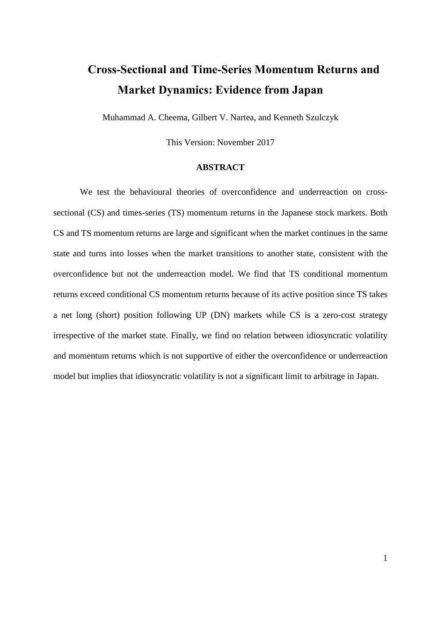# **Cross-Sectional and Time-Series Momentum Returns and Market Dynamics: Evidence from Japan**

Muhammad A. Cheema, Gilbert V. Nartea, and Kenneth Szulczyk

This Version: November 2017

## **ABSTRACT**

We test the behavioural theories of overconfidence and underreaction on crosssectional (CS) and times-series (TS) momentum returns in the Japanese stock markets. Both CS and TS momentum returns are large and significant when the market continues in the same state and turns into losses when the market transitions to another state, consistent with the overconfidence but not the underreaction model. We find that TS conditional momentum returns exceed conditional CS momentum returns because of its active position since TS takes a net long (short) position following UP (DN) markets while CS is a zero-cost strategy irrespective of the market state. Finally, we find no relation between idiosyncratic volatility and momentum returns which is not supportive of either the overconfidence or underreaction model but implies that idiosyncratic volatility is not a significant limit to arbitrage in Japan.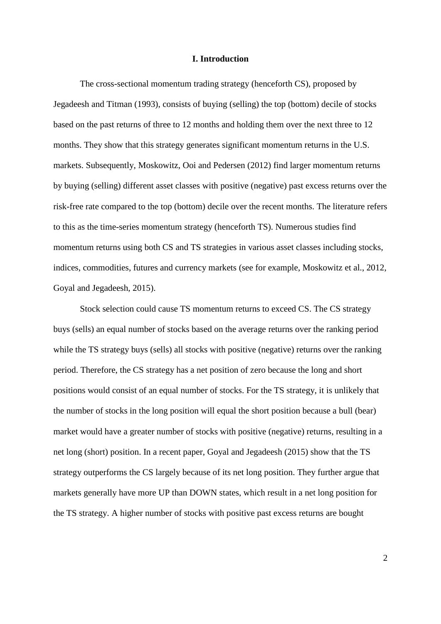## **I. Introduction**

The cross-sectional momentum trading strategy (henceforth CS), proposed by [Jegadeesh and Titman \(1993\),](#page-22-0) consists of buying (selling) the top (bottom) decile of stocks based on the past returns of three to 12 months and holding them over the next three to 12 months. They show that this strategy generates significant momentum returns in the U.S. markets. Subsequently, [Moskowitz, Ooi and Pedersen \(2012\)](#page-22-1) find larger momentum returns by buying (selling) different asset classes with positive (negative) past excess returns over the risk-free rate compared to the top (bottom) decile over the recent months. The literature refers to this as the time-series momentum strategy (henceforth TS). Numerous studies find momentum returns using both CS and TS strategies in various asset classes including stocks, indices, commodities, futures and currency markets (see for example, [Moskowitz et al., 2012,](#page-22-1) [Goyal and Jegadeesh, 2015\)](#page-21-0).

Stock selection could cause TS momentum returns to exceed CS. The CS strategy buys (sells) an equal number of stocks based on the average returns over the ranking period while the TS strategy buys (sells) all stocks with positive (negative) returns over the ranking period. Therefore, the CS strategy has a net position of zero because the long and short positions would consist of an equal number of stocks. For the TS strategy, it is unlikely that the number of stocks in the long position will equal the short position because a bull (bear) market would have a greater number of stocks with positive (negative) returns, resulting in a net long (short) position. In a recent paper, [Goyal and Jegadeesh \(2015\)](#page-21-0) show that the TS strategy outperforms the CS largely because of its net long position. They further argue that markets generally have more UP than DOWN states, which result in a net long position for the TS strategy. A higher number of stocks with positive past excess returns are bought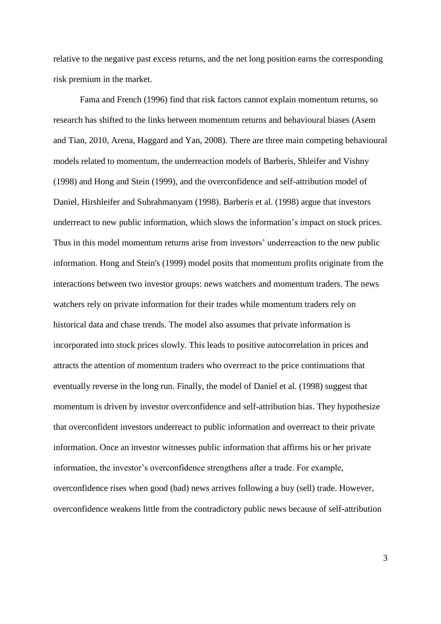relative to the negative past excess returns, and the net long position earns the corresponding risk premium in the market.

[Fama and French \(1996\)](#page-21-1) find that risk factors cannot explain momentum returns, so research has shifted to the links between momentum returns and behavioural biases [\(Asem](#page-21-2)  [and Tian, 2010,](#page-21-2) [Arena, Haggard and Yan, 2008\)](#page-21-3). There are three main competing behavioural models related to momentum, the underreaction models of [Barberis, Shleifer and Vishny](#page-21-4)  (1998) and [Hong and Stein \(1999\),](#page-22-2) and the overconfidence and self-attribution model of [Daniel, Hirshleifer and Subrahmanyam \(1998\).](#page-21-5) [Barberis et al. \(1998\)](#page-21-4) argue that investors underreact to new public information, which slows the information's impact on stock prices. Thus in this model momentum returns arise from investors' underreaction to the new public information. [Hong and Stein's](#page-22-2) (1999) model posits that momentum profits originate from the interactions between two investor groups: news watchers and momentum traders. The news watchers rely on private information for their trades while momentum traders rely on historical data and chase trends. The model also assumes that private information is incorporated into stock prices slowly. This leads to positive autocorrelation in prices and attracts the attention of momentum traders who overreact to the price continuations that eventually reverse in the long run. Finally, the model of [Daniel et al. \(1998\)](#page-21-5) suggest that momentum is driven by investor overconfidence and self-attribution bias. They hypothesize that overconfident investors underreact to public information and overreact to their private information. Once an investor witnesses public information that affirms his or her private information, the investor's overconfidence strengthens after a trade. For example, overconfidence rises when good (bad) news arrives following a buy (sell) trade. However, overconfidence weakens little from the contradictory public news because of self-attribution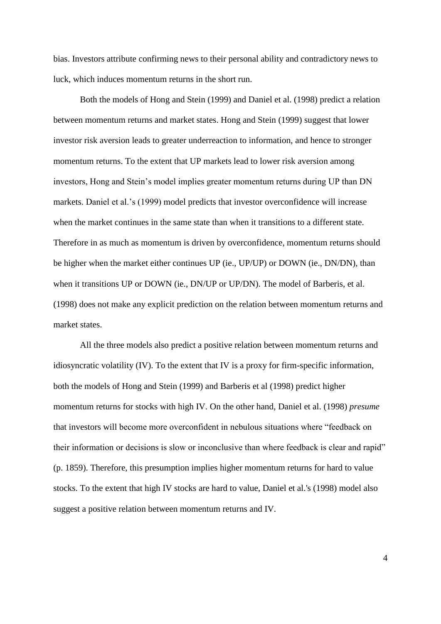bias. Investors attribute confirming news to their personal ability and contradictory news to luck, which induces momentum returns in the short run.

Both the models of Hong and Stein (1999) and Daniel et al. (1998) predict a relation between momentum returns and market states. Hong and Stein (1999) suggest that lower investor risk aversion leads to greater underreaction to information, and hence to stronger momentum returns. To the extent that UP markets lead to lower risk aversion among investors, Hong and Stein's model implies greater momentum returns during UP than DN markets. Daniel et al.'s (1999) model predicts that investor overconfidence will increase when the market continues in the same state than when it transitions to a different state. Therefore in as much as momentum is driven by overconfidence, momentum returns should be higher when the market either continues UP (ie., UP/UP) or DOWN (ie., DN/DN), than when it transitions UP or DOWN (ie., DN/UP or UP/DN). The model of Barberis, et al. (1998) does not make any explicit prediction on the relation between momentum returns and market states.

All the three models also predict a positive relation between momentum returns and idiosyncratic volatility (IV). To the extent that IV is a proxy for firm-specific information, both the models of Hong and Stein (1999) and Barberis et al (1998) predict higher momentum returns for stocks with high IV. On the other hand, [Daniel et al. \(1998\)](#page-21-5) *presume* that investors will become more overconfident in nebulous situations where "feedback on their information or decisions is slow or inconclusive than where feedback is clear and rapid" (p. 1859). Therefore, this presumption implies higher momentum returns for hard to value stocks. To the extent that high IV stocks are hard to value, [Daniel et al.'s](#page-21-5) (1998) model also suggest a positive relation between momentum returns and IV.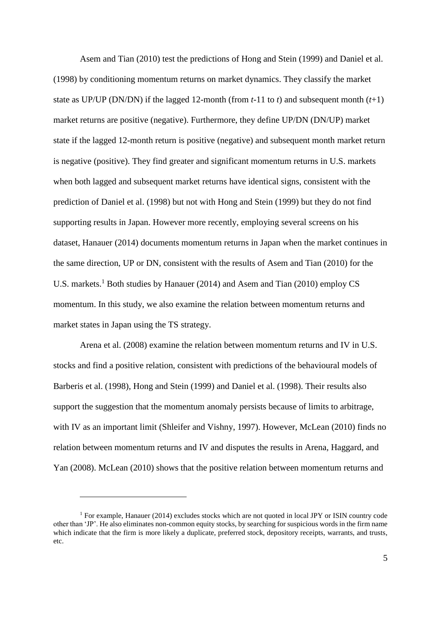[Asem and Tian \(2010\)](#page-21-2) test the predictions of [Hong and Stein \(1999\)](#page-22-2) and [Daniel et al.](#page-21-5)  (1998) by conditioning momentum returns on market dynamics. They classify the market state as UP/UP (DN/DN) if the lagged 12-month (from  $t-11$  to  $t$ ) and subsequent month  $(t+1)$ market returns are positive (negative). Furthermore, they define UP/DN (DN/UP) market state if the lagged 12-month return is positive (negative) and subsequent month market return is negative (positive). They find greater and significant momentum returns in U.S. markets when both lagged and subsequent market returns have identical signs, consistent with the prediction of [Daniel et al. \(1998\)](#page-21-5) but not with Hong and Stein (1999) but they do not find supporting results in Japan. However more recently, employing several screens on his dataset, [Hanauer \(2014\)](#page-22-3) documents momentum returns in Japan when the market continues in the same direction, UP or DN, consistent with the results of [Asem and Tian \(2010\)](#page-21-2) for the U.S. markets.<sup>1</sup> Both studies by Hanauer (2014) and Asem and Tian (2010) employ CS momentum. In this study, we also examine the relation between momentum returns and market states in Japan using the TS strategy.

[Arena et al. \(2008\)](#page-21-3) examine the relation between momentum returns and IV in U.S. stocks and find a positive relation, consistent with predictions of the behavioural models of [Barberis et al. \(1998\),](#page-21-4) [Hong and Stein \(1999\)](#page-22-2) and [Daniel et al. \(1998\).](#page-21-5) Their results also support the suggestion that the momentum anomaly persists because of limits to arbitrage, with IV as an important limit [\(Shleifer and Vishny, 1997\)](#page-23-0). However, [McLean \(2010\)](#page-22-4) finds no relation between momentum returns and IV and disputes the results in Arena, Haggard, and Yan [\(2008\)](#page-21-3). [McLean \(2010\)](#page-22-4) shows that the positive relation between momentum returns and

<sup>1</sup> For example, [Hanauer \(2014\)](#page-22-3) excludes stocks which are not quoted in local JPY or ISIN country code other than 'JP'. He also eliminates non-common equity stocks, by searching for suspicious words in the firm name which indicate that the firm is more likely a duplicate, preferred stock, depository receipts, warrants, and trusts, etc.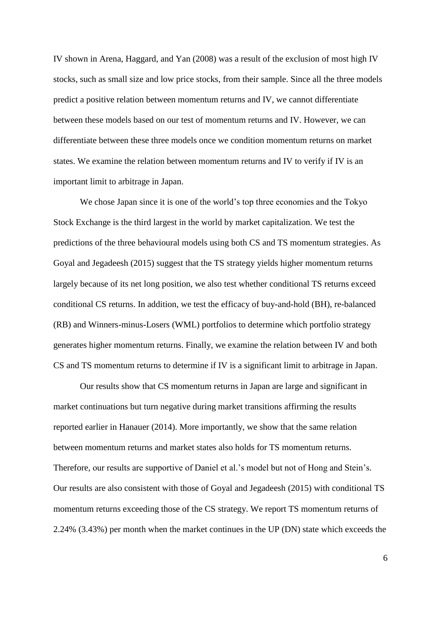IV shown in Arena, Haggard, and Yan [\(2008\)](#page-21-3) was a result of the exclusion of most high IV stocks, such as small size and low price stocks, from their sample. Since all the three models predict a positive relation between momentum returns and IV, we cannot differentiate between these models based on our test of momentum returns and IV. However, we can differentiate between these three models once we condition momentum returns on market states. We examine the relation between momentum returns and IV to verify if IV is an important limit to arbitrage in Japan.

We chose Japan since it is one of the world's top three economies and the Tokyo Stock Exchange is the third largest in the world by market capitalization. We test the predictions of the three behavioural models using both CS and TS momentum strategies. As [Goyal and Jegadeesh \(2015\)](#page-21-0) suggest that the TS strategy yields higher momentum returns largely because of its net long position, we also test whether conditional TS returns exceed conditional CS returns. In addition, we test the efficacy of buy-and-hold (BH), re-balanced (RB) and Winners-minus-Losers (WML) portfolios to determine which portfolio strategy generates higher momentum returns. Finally, we examine the relation between IV and both CS and TS momentum returns to determine if IV is a significant limit to arbitrage in Japan.

Our results show that CS momentum returns in Japan are large and significant in market continuations but turn negative during market transitions affirming the results reported earlier in Hanauer (2014). More importantly, we show that the same relation between momentum returns and market states also holds for TS momentum returns. Therefore, our results are supportive of Daniel et al.'s model but not of Hong and Stein's. Our results are also consistent with those of Goyal and Jegadeesh (2015) with conditional TS momentum returns exceeding those of the CS strategy. We report TS momentum returns of 2.24% (3.43%) per month when the market continues in the UP (DN) state which exceeds the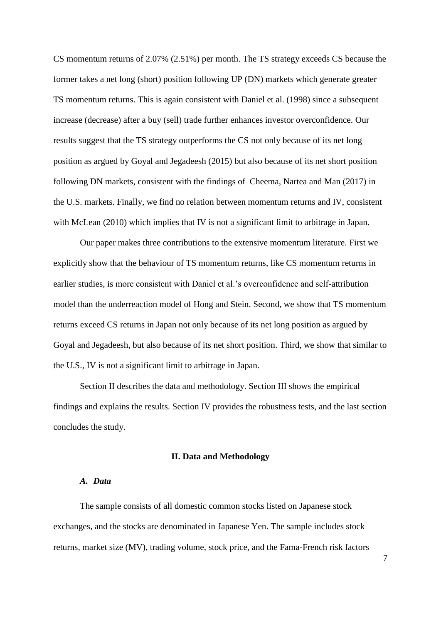CS momentum returns of 2.07% (2.51%) per month. The TS strategy exceeds CS because the former takes a net long (short) position following UP (DN) markets which generate greater TS momentum returns. This is again consistent with [Daniel et al. \(1998\)](#page-21-5) since a subsequent increase (decrease) after a buy (sell) trade further enhances investor overconfidence. Our results suggest that the TS strategy outperforms the CS not only because of its net long position as argued by Goyal and Jegadeesh (2015) but also because of its net short position following DN markets, consistent with the findings of [Cheema, Nartea and Man \(2017\)](#page-21-6) in the U.S. markets. Finally, we find no relation between momentum returns and IV, consistent with [McLean \(2010\)](#page-22-4) which implies that IV is not a significant limit to arbitrage in Japan.

Our paper makes three contributions to the extensive momentum literature. First we explicitly show that the behaviour of TS momentum returns, like CS momentum returns in earlier studies, is more consistent with Daniel et al.'s overconfidence and self-attribution model than the underreaction model of Hong and Stein. Second, we show that TS momentum returns exceed CS returns in Japan not only because of its net long position as argued by Goyal and Jegadeesh, but also because of its net short position. Third, we show that similar to the U.S., IV is not a significant limit to arbitrage in Japan.

Section II describes the data and methodology. Section III shows the empirical findings and explains the results. Section IV provides the robustness tests, and the last section concludes the study.

## **II. Data and Methodology**

## *A. Data*

The sample consists of all domestic common stocks listed on Japanese stock exchanges, and the stocks are denominated in Japanese Yen. The sample includes stock returns, market size (MV), trading volume, stock price, and the Fama-French risk factors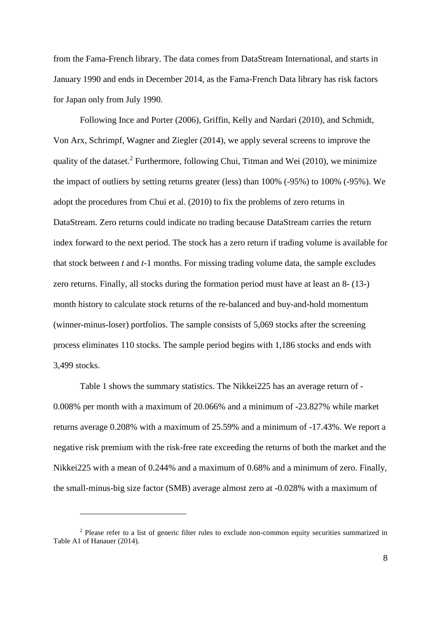from the Fama-French library. The data comes from DataStream International, and starts in January 1990 and ends in December 2014, as the Fama-French Data library has risk factors for Japan only from July 1990.

Following [Ince and Porter \(2006\),](#page-22-5) [Griffin, Kelly and Nardari \(2010\),](#page-22-6) and [Schmidt,](#page-22-7)  Von Arx, Schrimpf, Wagner and Ziegler (2014), we apply several screens to improve the quality of the dataset.<sup>2</sup> Furthermore, following [Chui, Titman and Wei \(2010\),](#page-21-7) we minimize the impact of outliers by setting returns greater (less) than 100% (-95%) to 100% (-95%). We adopt the procedures from [Chui et al. \(2010\)](#page-21-7) to fix the problems of zero returns in DataStream. Zero returns could indicate no trading because DataStream carries the return index forward to the next period. The stock has a zero return if trading volume is available for that stock between *t* and *t*-1 months. For missing trading volume data, the sample excludes zero returns. Finally, all stocks during the formation period must have at least an 8- (13-) month history to calculate stock returns of the re-balanced and buy-and-hold momentum (winner-minus-loser) portfolios. The sample consists of 5,069 stocks after the screening process eliminates 110 stocks. The sample period begins with 1,186 stocks and ends with 3,499 stocks.

Table 1 shows the summary statistics. The Nikkei225 has an average return of - 0.008% per month with a maximum of 20.066% and a minimum of -23.827% while market returns average 0.208% with a maximum of 25.59% and a minimum of -17.43%. We report a negative risk premium with the risk-free rate exceeding the returns of both the market and the Nikkei225 with a mean of 0.244% and a maximum of 0.68% and a minimum of zero. Finally, the small-minus-big size factor (SMB) average almost zero at -0.028% with a maximum of

<u>.</u>

<sup>&</sup>lt;sup>2</sup> Please refer to a list of generic filter rules to exclude non-common equity securities summarized in Table A1 of [Hanauer \(2014\).](#page-22-3)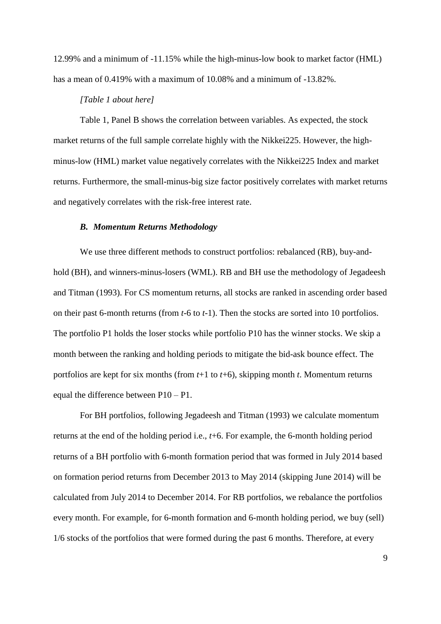12.99% and a minimum of -11.15% while the high-minus-low book to market factor (HML) has a mean of 0.419% with a maximum of 10.08% and a minimum of -13.82%.

# *[Table 1 about here]*

Table 1, Panel B shows the correlation between variables. As expected, the stock market returns of the full sample correlate highly with the Nikkei225. However, the highminus-low (HML) market value negatively correlates with the Nikkei225 Index and market returns. Furthermore, the small-minus-big size factor positively correlates with market returns and negatively correlates with the risk-free interest rate.

### *B. Momentum Returns Methodology*

We use three different methods to construct portfolios: rebalanced (RB), buy-andhold (BH), and winners-minus-losers (WML). RB and BH use the methodology of [Jegadeesh](#page-22-0)  and Titman (1993). For CS momentum returns, all stocks are ranked in ascending order based on their past 6-month returns (from *t*-6 to *t*-1). Then the stocks are sorted into 10 portfolios. The portfolio P1 holds the loser stocks while portfolio P10 has the winner stocks. We skip a month between the ranking and holding periods to mitigate the bid-ask bounce effect. The portfolios are kept for six months (from *t*+1 to *t*+6), skipping month *t*. Momentum returns equal the difference between P10 – P1.

For BH portfolios, following [Jegadeesh and Titman \(1993\)](#page-22-0) we calculate momentum returns at the end of the holding period i.e., *t*+6. For example, the 6-month holding period returns of a BH portfolio with 6-month formation period that was formed in July 2014 based on formation period returns from December 2013 to May 2014 (skipping June 2014) will be calculated from July 2014 to December 2014. For RB portfolios, we rebalance the portfolios every month. For example, for 6-month formation and 6-month holding period, we buy (sell) 1/6 stocks of the portfolios that were formed during the past 6 months. Therefore, at every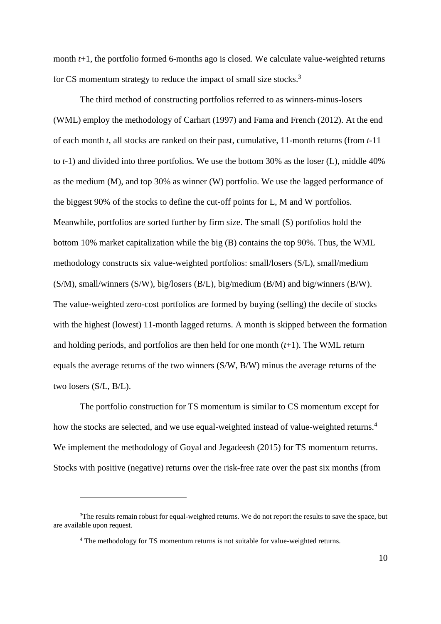month  $t+1$ , the portfolio formed 6-months ago is closed. We calculate value-weighted returns for CS momentum strategy to reduce the impact of small size stocks.<sup>3</sup>

The third method of constructing portfolios referred to as winners-minus-losers (WML) employ the methodology of [Carhart \(1997\)](#page-21-8) and [Fama and French \(2012\).](#page-21-9) At the end of each month *t*, all stocks are ranked on their past, cumulative, 11-month returns (from *t*-11 to *t*-1) and divided into three portfolios. We use the bottom 30% as the loser (L), middle 40% as the medium (M), and top 30% as winner (W) portfolio. We use the lagged performance of the biggest 90% of the stocks to define the cut-off points for L, M and W portfolios. Meanwhile, portfolios are sorted further by firm size. The small (S) portfolios hold the bottom 10% market capitalization while the big (B) contains the top 90%. Thus, the WML methodology constructs six value-weighted portfolios: small/losers (S/L), small/medium (S/M), small/winners (S/W), big/losers (B/L), big/medium (B/M) and big/winners (B/W). The value-weighted zero-cost portfolios are formed by buying (selling) the decile of stocks with the highest (lowest) 11-month lagged returns. A month is skipped between the formation and holding periods, and portfolios are then held for one month (*t*+1). The WML return equals the average returns of the two winners (S/W, B/W) minus the average returns of the two losers (S/L, B/L).

The portfolio construction for TS momentum is similar to CS momentum except for how the stocks are selected, and we use equal-weighted instead of value-weighted returns.<sup>4</sup> We implement the methodology of [Goyal and Jegadeesh \(2015\)](#page-21-0) for TS momentum returns. Stocks with positive (negative) returns over the risk-free rate over the past six months (from

<sup>&</sup>lt;sup>3</sup>The results remain robust for equal-weighted returns. We do not report the results to save the space, but are available upon request.

<sup>4</sup> The methodology for TS momentum returns is not suitable for value-weighted returns.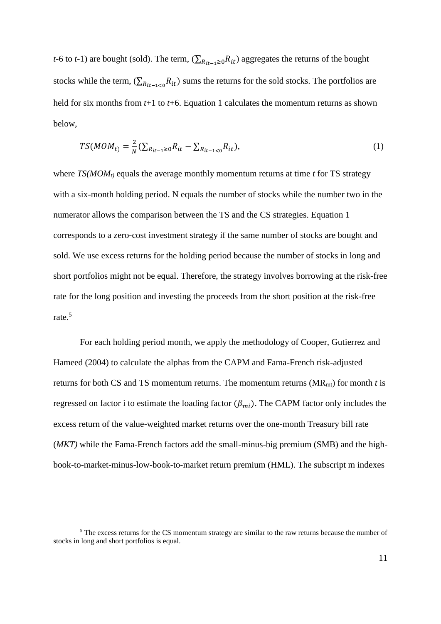*t*-6 to *t*-1) are bought (sold). The term,  $(\sum_{R_{it-1}\geq 0} R_{it})$  aggregates the returns of the bought stocks while the term,  $(\sum_{R_{it-1}<0} R_{it})$  sums the returns for the sold stocks. The portfolios are held for six months from *t*+1 to *t*+6. Equation 1 calculates the momentum returns as shown below,

$$
TS(MOM_{t}) = \frac{2}{N} \left( \sum_{R_{it-1} \ge 0} R_{it} - \sum_{R_{it-1} < 0} R_{it} \right),\tag{1}
$$

where *TS(MOMt)* equals the average monthly momentum returns at time *t* for TS strategy with a six-month holding period. N equals the number of stocks while the number two in the numerator allows the comparison between the TS and the CS strategies. Equation 1 corresponds to a zero-cost investment strategy if the same number of stocks are bought and sold. We use excess returns for the holding period because the number of stocks in long and short portfolios might not be equal. Therefore, the strategy involves borrowing at the risk-free rate for the long position and investing the proceeds from the short position at the risk-free rate.<sup>5</sup>

For each holding period month, we apply the methodology of [Cooper, Gutierrez and](#page-21-10)  Hameed (2004) to calculate the alphas from the CAPM and Fama-French risk-adjusted returns for both CS and TS momentum returns. The momentum returns (MRmt) for month *t* is regressed on factor i to estimate the loading factor  $(\beta_{mi})$ . The CAPM factor only includes the excess return of the value-weighted market returns over the one-month Treasury bill rate (*MKT)* while the Fama-French factors add the small-minus-big premium (SMB) and the highbook-to-market-minus-low-book-to-market return premium (HML). The subscript m indexes

<u>.</u>

<sup>&</sup>lt;sup>5</sup> The excess returns for the CS momentum strategy are similar to the raw returns because the number of stocks in long and short portfolios is equal.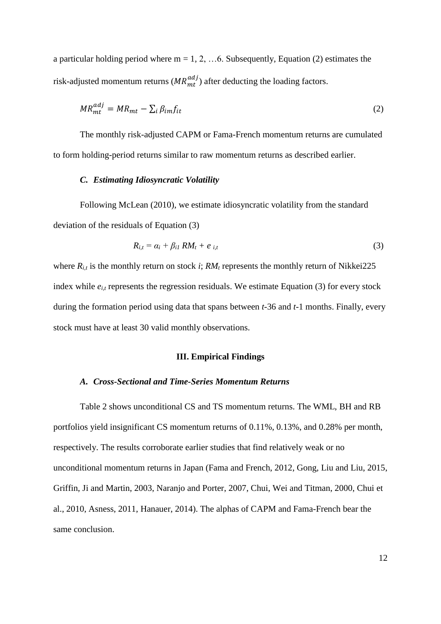a particular holding period where  $m = 1, 2, \ldots$  6. Subsequently, Equation (2) estimates the risk-adjusted momentum returns ( $MR_{mt}^{adj}$ ) after deducting the loading factors.

$$
MR_{mt}^{adj} = MR_{mt} - \sum_{i} \beta_{im} f_{it} \tag{2}
$$

The monthly risk-adjusted CAPM or Fama-French momentum returns are cumulated to form holding-period returns similar to raw momentum returns as described earlier.

# *C. Estimating Idiosyncratic Volatility*

Following [McLean \(2010\),](#page-22-4) we estimate idiosyncratic volatility from the standard deviation of the residuals of Equation (3)

$$
R_{i,t} = \alpha_i + \beta_{i1} RM_t + e_{i,t} \tag{3}
$$

where  $R_{i,t}$  is the monthly return on stock *i*;  $RM_t$  represents the monthly return of Nikkei225 index while  $e_{i,t}$  represents the regression residuals. We estimate Equation (3) for every stock during the formation period using data that spans between *t*-36 and *t*-1 months. Finally, every stock must have at least 30 valid monthly observations.

# **III. Empirical Findings**

### *A. Cross-Sectional and Time-Series Momentum Returns*

Table 2 shows unconditional CS and TS momentum returns. The WML, BH and RB portfolios yield insignificant CS momentum returns of 0.11%, 0.13%, and 0.28% per month, respectively. The results corroborate earlier studies that find relatively weak or no unconditional momentum returns in Japan [\(Fama and French, 2012,](#page-21-9) [Gong, Liu and Liu, 2015,](#page-21-11) [Griffin, Ji and Martin, 2003,](#page-22-8) [Naranjo and Porter, 2007,](#page-22-9) [Chui, Wei and Titman, 2000,](#page-21-12) [Chui et](#page-21-7)  [al., 2010,](#page-21-7) [Asness, 2011,](#page-21-13) [Hanauer, 2014\)](#page-22-3). The alphas of CAPM and Fama-French bear the same conclusion.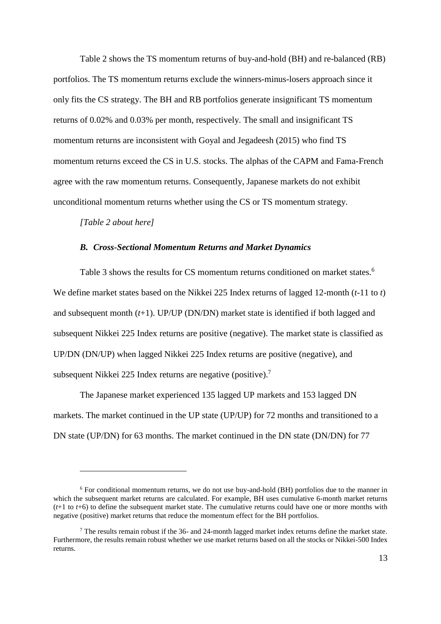Table 2 shows the TS momentum returns of buy-and-hold (BH) and re-balanced (RB) portfolios. The TS momentum returns exclude the winners-minus-losers approach since it only fits the CS strategy. The BH and RB portfolios generate insignificant TS momentum returns of 0.02% and 0.03% per month, respectively. The small and insignificant TS momentum returns are inconsistent with [Goyal and Jegadeesh \(2015\)](#page-21-0) who find TS momentum returns exceed the CS in U.S. stocks. The alphas of the CAPM and Fama-French agree with the raw momentum returns. Consequently, Japanese markets do not exhibit unconditional momentum returns whether using the CS or TS momentum strategy.

*[Table 2 about here]*

1

## *B. Cross-Sectional Momentum Returns and Market Dynamics*

Table 3 shows the results for CS momentum returns conditioned on market states.<sup>6</sup> We define market states based on the Nikkei 225 Index returns of lagged 12-month (*t*-11 to *t*) and subsequent month (*t*+1). UP/UP (DN/DN) market state is identified if both lagged and subsequent Nikkei 225 Index returns are positive (negative). The market state is classified as UP/DN (DN/UP) when lagged Nikkei 225 Index returns are positive (negative), and subsequent Nikkei 225 Index returns are negative (positive).<sup>7</sup>

The Japanese market experienced 135 lagged UP markets and 153 lagged DN markets. The market continued in the UP state (UP/UP) for 72 months and transitioned to a DN state (UP/DN) for 63 months. The market continued in the DN state (DN/DN) for 77

<sup>6</sup> For conditional momentum returns, we do not use buy-and-hold (BH) portfolios due to the manner in which the subsequent market returns are calculated. For example, BH uses cumulative 6-month market returns (*t*+1 to *t*+6) to define the subsequent market state. The cumulative returns could have one or more months with negative (positive) market returns that reduce the momentum effect for the BH portfolios.

 $<sup>7</sup>$  The results remain robust if the 36- and 24-month lagged market index returns define the market state.</sup> Furthermore, the results remain robust whether we use market returns based on all the stocks or Nikkei-500 Index returns.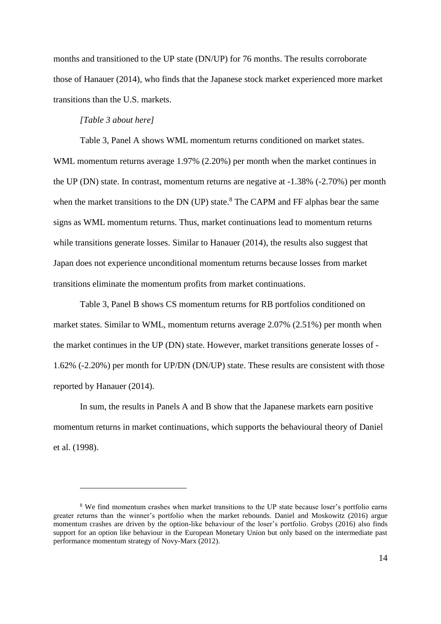months and transitioned to the UP state (DN/UP) for 76 months. The results corroborate those of [Hanauer \(2014\),](#page-22-3) who finds that the Japanese stock market experienced more market transitions than the U.S. markets.

# *[Table 3 about here]*

<u>.</u>

Table 3, Panel A shows WML momentum returns conditioned on market states. WML momentum returns average 1.97% (2.20%) per month when the market continues in the UP (DN) state. In contrast, momentum returns are negative at -1.38% (-2.70%) per month when the market transitions to the DN (UP) state. $8$  The CAPM and FF alphas bear the same signs as WML momentum returns. Thus, market continuations lead to momentum returns while transitions generate losses. Similar to [Hanauer \(2014\),](#page-22-3) the results also suggest that Japan does not experience unconditional momentum returns because losses from market transitions eliminate the momentum profits from market continuations.

Table 3, Panel B shows CS momentum returns for RB portfolios conditioned on market states. Similar to WML, momentum returns average 2.07% (2.51%) per month when the market continues in the UP (DN) state. However, market transitions generate losses of - 1.62% (-2.20%) per month for UP/DN (DN/UP) state. These results are consistent with those reported by Hanauer (2014).

In sum, the results in Panels A and B show that the Japanese markets earn positive momentum returns in market continuations, which supports the behavioural theory of [Daniel](#page-21-5)  et al. (1998).

<sup>&</sup>lt;sup>8</sup> We find momentum crashes when market transitions to the UP state because loser's portfolio earns greater returns than the winner's portfolio when the market rebounds. [Daniel and Moskowitz \(2016\)](#page-21-14) argue momentum crashes are driven by the option-like behaviour of the loser's portfolio. [Grobys \(2016\)](#page-22-10) also finds support for an option like behaviour in the European Monetary Union but only based on the intermediate past performance momentum strategy of [Novy-Marx \(2012\).](#page-22-11)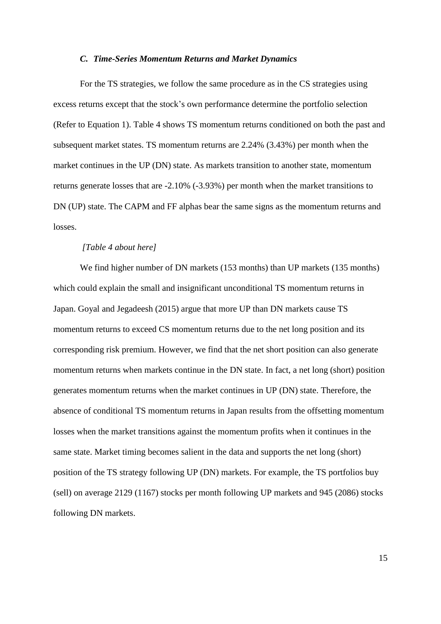## *C. Time-Series Momentum Returns and Market Dynamics*

For the TS strategies, we follow the same procedure as in the CS strategies using excess returns except that the stock's own performance determine the portfolio selection (Refer to Equation 1). Table 4 shows TS momentum returns conditioned on both the past and subsequent market states. TS momentum returns are 2.24% (3.43%) per month when the market continues in the UP (DN) state. As markets transition to another state, momentum returns generate losses that are -2.10% (-3.93%) per month when the market transitions to DN (UP) state. The CAPM and FF alphas bear the same signs as the momentum returns and losses.

## *[Table 4 about here]*

We find higher number of DN markets (153 months) than UP markets (135 months) which could explain the small and insignificant unconditional TS momentum returns in Japan. Goyal and Jegadeesh (2015) argue that more UP than DN markets cause TS momentum returns to exceed CS momentum returns due to the net long position and its corresponding risk premium. However, we find that the net short position can also generate momentum returns when markets continue in the DN state. In fact, a net long (short) position generates momentum returns when the market continues in UP (DN) state. Therefore, the absence of conditional TS momentum returns in Japan results from the offsetting momentum losses when the market transitions against the momentum profits when it continues in the same state. Market timing becomes salient in the data and supports the net long (short) position of the TS strategy following UP (DN) markets. For example, the TS portfolios buy (sell) on average 2129 (1167) stocks per month following UP markets and 945 (2086) stocks following DN markets.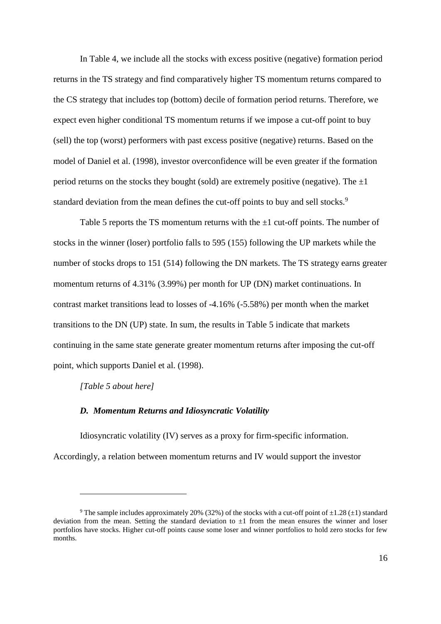In Table 4, we include all the stocks with excess positive (negative) formation period returns in the TS strategy and find comparatively higher TS momentum returns compared to the CS strategy that includes top (bottom) decile of formation period returns. Therefore, we expect even higher conditional TS momentum returns if we impose a cut-off point to buy (sell) the top (worst) performers with past excess positive (negative) returns. Based on the model of [Daniel et al. \(1998\),](#page-21-5) investor overconfidence will be even greater if the formation period returns on the stocks they bought (sold) are extremely positive (negative). The  $\pm 1$ standard deviation from the mean defines the cut-off points to buy and sell stocks.<sup>9</sup>

Table 5 reports the TS momentum returns with the  $\pm 1$  cut-off points. The number of stocks in the winner (loser) portfolio falls to 595 (155) following the UP markets while the number of stocks drops to 151 (514) following the DN markets. The TS strategy earns greater momentum returns of 4.31% (3.99%) per month for UP (DN) market continuations. In contrast market transitions lead to losses of -4.16% (-5.58%) per month when the market transitions to the DN (UP) state. In sum, the results in Table 5 indicate that markets continuing in the same state generate greater momentum returns after imposing the cut-off point, which supports [Daniel et al. \(1998\).](#page-21-5)

## *[Table 5 about here]*

1

## *D. Momentum Returns and Idiosyncratic Volatility*

Idiosyncratic volatility (IV) serves as a proxy for firm-specific information. Accordingly, a relation between momentum returns and IV would support the investor

<sup>&</sup>lt;sup>9</sup> The sample includes approximately 20% (32%) of the stocks with a cut-off point of  $\pm 1.28 (\pm 1)$  standard deviation from the mean. Setting the standard deviation to  $\pm 1$  from the mean ensures the winner and loser portfolios have stocks. Higher cut-off points cause some loser and winner portfolios to hold zero stocks for few months.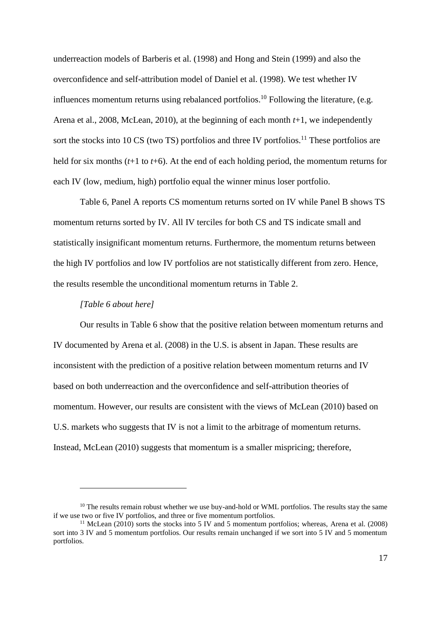underreaction models of [Barberis et al. \(1998\)](#page-21-4) and [Hong and Stein \(1999\)](#page-22-2) and also the overconfidence and self-attribution model of [Daniel et al. \(1998\).](#page-21-5) We test whether IV influences momentum returns using rebalanced portfolios.<sup>10</sup> Following the literature, (e.g. [Arena et al., 2008,](#page-21-3) [McLean, 2010\)](#page-22-4), at the beginning of each month *t*+1, we independently sort the stocks into  $10 \text{ CS}$  (two TS) portfolios and three IV portfolios.<sup>11</sup> These portfolios are held for six months (*t*+1 to *t*+6). At the end of each holding period, the momentum returns for each IV (low, medium, high) portfolio equal the winner minus loser portfolio.

Table 6, Panel A reports CS momentum returns sorted on IV while Panel B shows TS momentum returns sorted by IV. All IV terciles for both CS and TS indicate small and statistically insignificant momentum returns. Furthermore, the momentum returns between the high IV portfolios and low IV portfolios are not statistically different from zero. Hence, the results resemble the unconditional momentum returns in Table 2.

# *[Table 6 about here]*

<u>.</u>

Our results in Table 6 show that the positive relation between momentum returns and IV documented by Arena et al. (2008) in the U.S. is absent in Japan. These results are inconsistent with the prediction of a positive relation between momentum returns and IV based on both underreaction and the overconfidence and self-attribution theories of momentum. However, our results are consistent with the views of McLean (2010) based on U.S. markets who suggests that IV is not a limit to the arbitrage of momentum returns. Instead, McLean (2010) suggests that momentum is a smaller mispricing; therefore,

 $10$  The results remain robust whether we use buy-and-hold or WML portfolios. The results stay the same if we use two or five IV portfolios, and three or five momentum portfolios.

<sup>&</sup>lt;sup>11</sup> [McLean \(2010\)](#page-22-4) sorts the stocks into 5 IV and 5 momentum portfolios; whereas, [Arena et al. \(2008\)](#page-21-3) sort into 3 IV and 5 momentum portfolios. Our results remain unchanged if we sort into 5 IV and 5 momentum portfolios.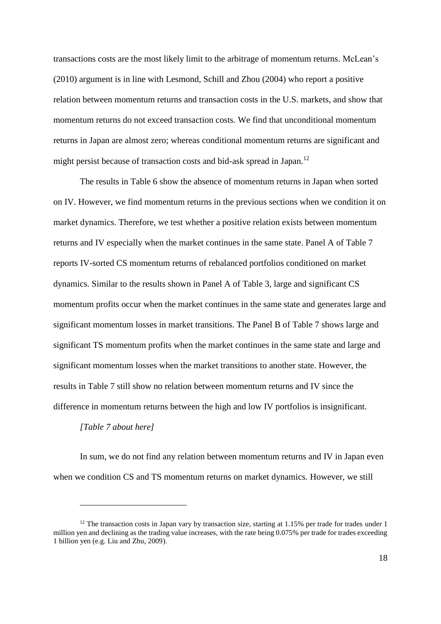transactions costs are the most likely limit to the arbitrage of momentum returns. McLean's (2010) argument is in line with [Lesmond, Schill and Zhou \(2004\)](#page-22-12) who report a positive relation between momentum returns and transaction costs in the U.S. markets, and show that momentum returns do not exceed transaction costs. We find that unconditional momentum returns in Japan are almost zero; whereas conditional momentum returns are significant and might persist because of transaction costs and bid-ask spread in Japan.<sup>12</sup>

The results in Table 6 show the absence of momentum returns in Japan when sorted on IV. However, we find momentum returns in the previous sections when we condition it on market dynamics. Therefore, we test whether a positive relation exists between momentum returns and IV especially when the market continues in the same state. Panel A of Table 7 reports IV-sorted CS momentum returns of rebalanced portfolios conditioned on market dynamics. Similar to the results shown in Panel A of Table 3, large and significant CS momentum profits occur when the market continues in the same state and generates large and significant momentum losses in market transitions. The Panel B of Table 7 shows large and significant TS momentum profits when the market continues in the same state and large and significant momentum losses when the market transitions to another state. However, the results in Table 7 still show no relation between momentum returns and IV since the difference in momentum returns between the high and low IV portfolios is insignificant.

## *[Table 7 about here]*

1

In sum, we do not find any relation between momentum returns and IV in Japan even when we condition CS and TS momentum returns on market dynamics. However, we still

 $12$  The transaction costs in Japan vary by transaction size, starting at 1.15% per trade for trades under 1 million yen and declining as the trading value increases, with the rate being 0.075% per trade for trades exceeding 1 billion yen [\(e.g. Liu and Zhu, 2009\)](#page-22-13).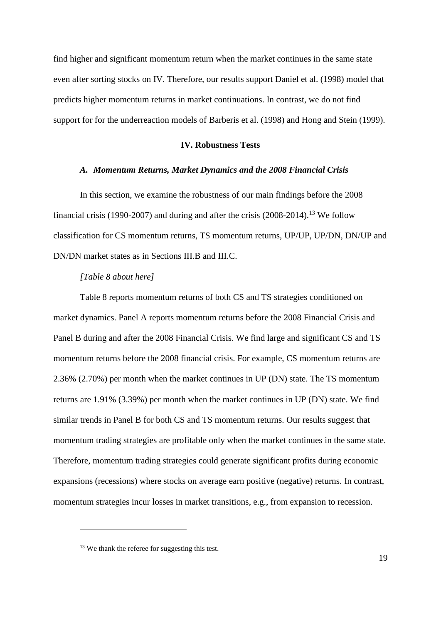find higher and significant momentum return when the market continues in the same state even after sorting stocks on IV. Therefore, our results support [Daniel et al. \(1998\)](#page-21-5) model that predicts higher momentum returns in market continuations. In contrast, we do not find support for for the underreaction models of [Barberis et al. \(1998\)](#page-21-4) and Hong and Stein (1999).

# **IV. Robustness Tests**

## *A. Momentum Returns, Market Dynamics and the 2008 Financial Crisis*

In this section, we examine the robustness of our main findings before the 2008 financial crisis (1990-2007) and during and after the crisis  $(2008-2014).$ <sup>13</sup> We follow classification for CS momentum returns, TS momentum returns, UP/UP, UP/DN, DN/UP and DN/DN market states as in Sections III.B and III.C.

## *[Table 8 about here]*

Table 8 reports momentum returns of both CS and TS strategies conditioned on market dynamics. Panel A reports momentum returns before the 2008 Financial Crisis and Panel B during and after the 2008 Financial Crisis. We find large and significant CS and TS momentum returns before the 2008 financial crisis. For example, CS momentum returns are 2.36% (2.70%) per month when the market continues in UP (DN) state. The TS momentum returns are 1.91% (3.39%) per month when the market continues in UP (DN) state. We find similar trends in Panel B for both CS and TS momentum returns. Our results suggest that momentum trading strategies are profitable only when the market continues in the same state. Therefore, momentum trading strategies could generate significant profits during economic expansions (recessions) where stocks on average earn positive (negative) returns. In contrast, momentum strategies incur losses in market transitions, e.g., from expansion to recession.

<sup>&</sup>lt;sup>13</sup> We thank the referee for suggesting this test.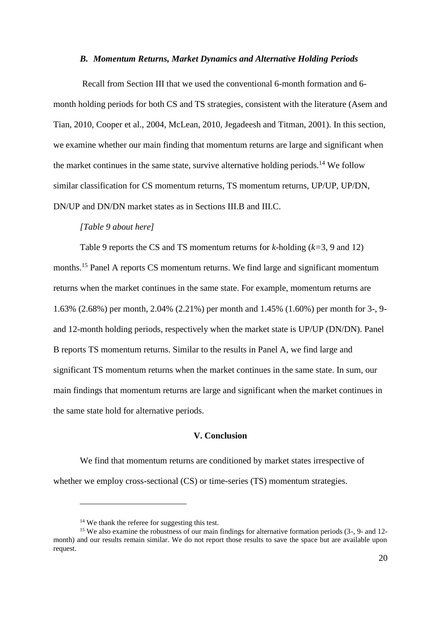## *B. Momentum Returns, Market Dynamics and Alternative Holding Periods*

Recall from Section III that we used the conventional 6-month formation and 6 month holding periods for both CS and TS strategies, consistent with the literature [\(Asem and](#page-21-2)  [Tian, 2010,](#page-21-2) [Cooper et al., 2004,](#page-21-10) [McLean, 2010,](#page-22-4) [Jegadeesh and Titman, 2001\)](#page-22-14). In this section, we examine whether our main finding that momentum returns are large and significant when the market continues in the same state, survive alternative holding periods.<sup>14</sup> We follow similar classification for CS momentum returns, TS momentum returns, UP/UP, UP/DN, DN/UP and DN/DN market states as in Sections III.B and III.C.

### *[Table 9 about here]*

Table 9 reports the CS and TS momentum returns for *k-*holding (*k=*3, 9 and 12) months. <sup>15</sup> Panel A reports CS momentum returns. We find large and significant momentum returns when the market continues in the same state. For example, momentum returns are 1.63% (2.68%) per month, 2.04% (2.21%) per month and 1.45% (1.60%) per month for 3-, 9 and 12-month holding periods, respectively when the market state is UP/UP (DN/DN). Panel B reports TS momentum returns. Similar to the results in Panel A, we find large and significant TS momentum returns when the market continues in the same state. In sum, our main findings that momentum returns are large and significant when the market continues in the same state hold for alternative periods.

# **V. Conclusion**

We find that momentum returns are conditioned by market states irrespective of whether we employ cross-sectional (CS) or time-series (TS) momentum strategies.

<sup>&</sup>lt;sup>14</sup> We thank the referee for suggesting this test.

<sup>&</sup>lt;sup>15</sup> We also examine the robustness of our main findings for alternative formation periods (3-, 9- and 12month) and our results remain similar. We do not report those results to save the space but are available upon request.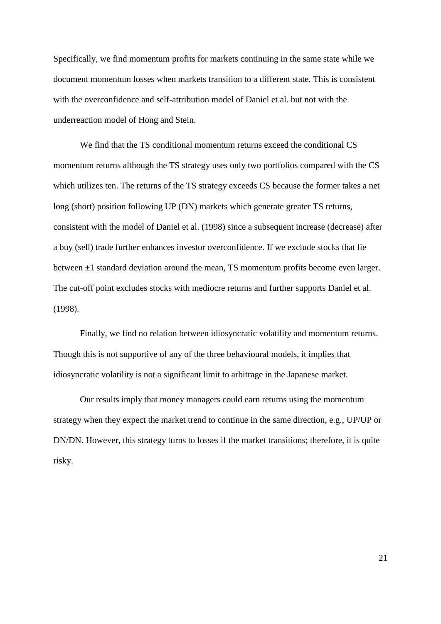Specifically, we find momentum profits for markets continuing in the same state while we document momentum losses when markets transition to a different state. This is consistent with the overconfidence and self-attribution model of Daniel et al. but not with the underreaction model of Hong and Stein.

We find that the TS conditional momentum returns exceed the conditional CS momentum returns although the TS strategy uses only two portfolios compared with the CS which utilizes ten. The returns of the TS strategy exceeds CS because the former takes a net long (short) position following UP (DN) markets which generate greater TS returns, consistent with the model of [Daniel et al. \(1998\)](#page-21-5) since a subsequent increase (decrease) after a buy (sell) trade further enhances investor overconfidence. If we exclude stocks that lie between  $\pm 1$  standard deviation around the mean, TS momentum profits become even larger. The cut-off point excludes stocks with mediocre returns and further supports [Daniel et al.](#page-21-5)  (1998).

Finally, we find no relation between idiosyncratic volatility and momentum returns. Though this is not supportive of any of the three behavioural models, it implies that idiosyncratic volatility is not a significant limit to arbitrage in the Japanese market.

Our results imply that money managers could earn returns using the momentum strategy when they expect the market trend to continue in the same direction, e.g., UP/UP or DN/DN. However, this strategy turns to losses if the market transitions; therefore, it is quite risky.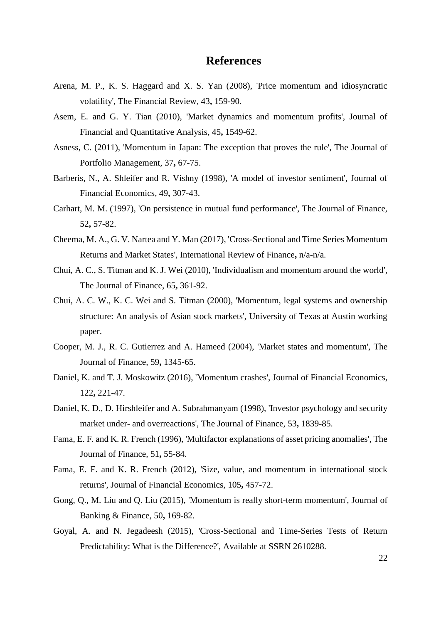# **References**

- <span id="page-21-3"></span>Arena, M. P., K. S. Haggard and X. S. Yan (2008), 'Price momentum and idiosyncratic volatility', The Financial Review*,* 43**,** 159-90.
- <span id="page-21-2"></span>Asem, E. and G. Y. Tian (2010), 'Market dynamics and momentum profits', Journal of Financial and Quantitative Analysis*,* 45**,** 1549-62.
- <span id="page-21-13"></span>Asness, C. (2011), 'Momentum in Japan: The exception that proves the rule', The Journal of Portfolio Management*,* 37**,** 67-75.
- <span id="page-21-4"></span>Barberis, N., A. Shleifer and R. Vishny (1998), 'A model of investor sentiment', Journal of Financial Economics*,* 49**,** 307-43.
- <span id="page-21-8"></span>Carhart, M. M. (1997), 'On persistence in mutual fund performance', The Journal of Finance*,* 52**,** 57-82.
- <span id="page-21-6"></span>Cheema, M. A., G. V. Nartea and Y. Man (2017), 'Cross-Sectional and Time Series Momentum Returns and Market States', International Review of Finance**,** n/a-n/a.
- <span id="page-21-7"></span>Chui, A. C., S. Titman and K. J. Wei (2010), 'Individualism and momentum around the world', The Journal of Finance*,* 65**,** 361-92.
- <span id="page-21-12"></span>Chui, A. C. W., K. C. Wei and S. Titman (2000), 'Momentum, legal systems and ownership structure: An analysis of Asian stock markets', University of Texas at Austin working paper.
- <span id="page-21-10"></span>Cooper, M. J., R. C. Gutierrez and A. Hameed (2004), 'Market states and momentum', The Journal of Finance*,* 59**,** 1345-65.
- <span id="page-21-14"></span>Daniel, K. and T. J. Moskowitz (2016), 'Momentum crashes', Journal of Financial Economics*,* 122**,** 221-47.
- <span id="page-21-5"></span>Daniel, K. D., D. Hirshleifer and A. Subrahmanyam (1998), 'Investor psychology and security market under- and overreactions', The Journal of Finance*,* 53**,** 1839-85.
- <span id="page-21-1"></span>Fama, E. F. and K. R. French (1996), 'Multifactor explanations of asset pricing anomalies', The Journal of Finance*,* 51**,** 55-84.
- <span id="page-21-9"></span>Fama, E. F. and K. R. French (2012), 'Size, value, and momentum in international stock returns', Journal of Financial Economics*,* 105**,** 457-72.
- <span id="page-21-11"></span>Gong, Q., M. Liu and Q. Liu (2015), 'Momentum is really short-term momentum', Journal of Banking & Finance*,* 50**,** 169-82.
- <span id="page-21-0"></span>Goyal, A. and N. Jegadeesh (2015), 'Cross-Sectional and Time-Series Tests of Return Predictability: What is the Difference?', Available at SSRN 2610288.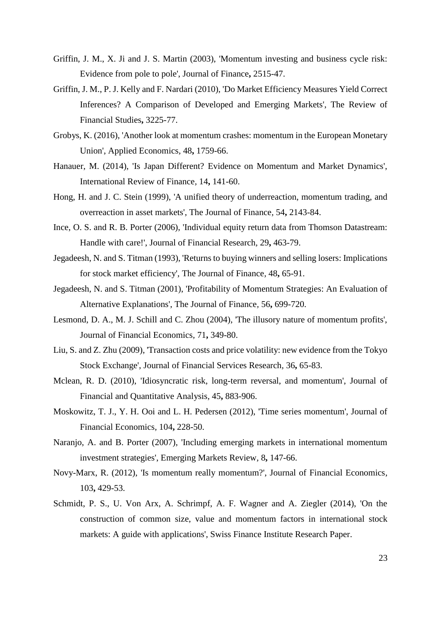- <span id="page-22-8"></span>Griffin, J. M., X. Ji and J. S. Martin (2003), 'Momentum investing and business cycle risk: Evidence from pole to pole', Journal of Finance**,** 2515-47.
- <span id="page-22-15"></span><span id="page-22-6"></span>Griffin, J. M., P. J. Kelly and F. Nardari (2010), 'Do Market Efficiency Measures Yield Correct Inferences? A Comparison of Developed and Emerging Markets', The Review of Financial Studies**,** 3225-77.
- <span id="page-22-10"></span>Grobys, K. (2016), 'Another look at momentum crashes: momentum in the European Monetary Union', Applied Economics*,* 48**,** 1759-66.
- <span id="page-22-3"></span>Hanauer, M. (2014), 'Is Japan Different? Evidence on Momentum and Market Dynamics', International Review of Finance*,* 14**,** 141-60.
- <span id="page-22-2"></span>Hong, H. and J. C. Stein (1999), 'A unified theory of underreaction, momentum trading, and overreaction in asset markets', The Journal of Finance*,* 54**,** 2143-84.
- <span id="page-22-5"></span>Ince, O. S. and R. B. Porter (2006), 'Individual equity return data from Thomson Datastream: Handle with care!', Journal of Financial Research*,* 29**,** 463-79.
- <span id="page-22-0"></span>Jegadeesh, N. and S. Titman (1993), 'Returns to buying winners and selling losers: Implications for stock market efficiency', The Journal of Finance*,* 48**,** 65-91.
- <span id="page-22-14"></span>Jegadeesh, N. and S. Titman (2001), 'Profitability of Momentum Strategies: An Evaluation of Alternative Explanations', The Journal of Finance*,* 56**,** 699-720.
- <span id="page-22-12"></span>Lesmond, D. A., M. J. Schill and C. Zhou (2004), 'The illusory nature of momentum profits', Journal of Financial Economics*,* 71**,** 349-80.
- <span id="page-22-13"></span>Liu, S. and Z. Zhu (2009), 'Transaction costs and price volatility: new evidence from the Tokyo Stock Exchange', Journal of Financial Services Research*,* 36**,** 65-83.
- <span id="page-22-4"></span>Mclean, R. D. (2010), 'Idiosyncratic risk, long-term reversal, and momentum', Journal of Financial and Quantitative Analysis*,* 45**,** 883-906.
- <span id="page-22-1"></span>Moskowitz, T. J., Y. H. Ooi and L. H. Pedersen (2012), 'Time series momentum', Journal of Financial Economics*,* 104**,** 228-50.
- <span id="page-22-9"></span>Naranjo, A. and B. Porter (2007), 'Including emerging markets in international momentum investment strategies', Emerging Markets Review*,* 8**,** 147-66.
- <span id="page-22-11"></span>Novy-Marx, R. (2012), 'Is momentum really momentum?', Journal of Financial Economics*,* 103**,** 429-53.
- <span id="page-22-7"></span>Schmidt, P. S., U. Von Arx, A. Schrimpf, A. F. Wagner and A. Ziegler (2014), 'On the construction of common size, value and momentum factors in international stock markets: A guide with applications', Swiss Finance Institute Research Paper.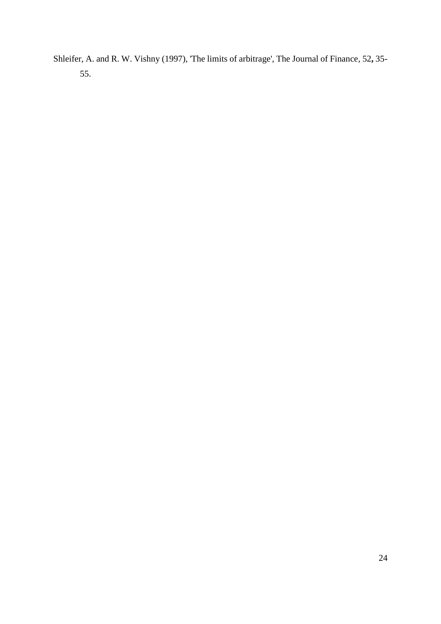<span id="page-23-0"></span>Shleifer, A. and R. W. Vishny (1997), 'The limits of arbitrage', The Journal of Finance*,* 52**,** 35- 55.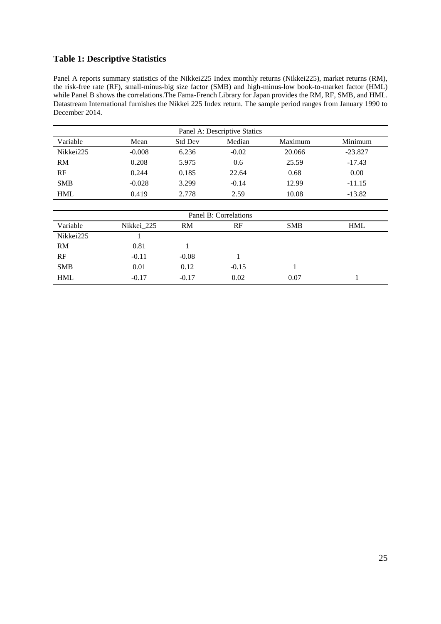# **Table 1: Descriptive Statistics**

Panel A reports summary statistics of the Nikkei225 Index monthly returns (Nikkei225), market returns (RM), the risk-free rate (RF), small-minus-big size factor (SMB) and high-minus-low book-to-market factor (HML) while Panel B shows the correlations. The Fama-French Library for Japan provides the RM, RF, SMB, and HML. Datastream International furnishes the Nikkei 225 Index return. The sample period ranges from January 1990 to December 2014.

| Panel A: Descriptive Statics |          |                |         |         |           |  |  |
|------------------------------|----------|----------------|---------|---------|-----------|--|--|
| Variable                     | Mean     | <b>Std Dev</b> | Median  | Maximum | Minimum   |  |  |
| Nikkei225                    | $-0.008$ | 6.236          | $-0.02$ | 20.066  | $-23.827$ |  |  |
| <b>RM</b>                    | 0.208    | 5.975          | 0.6     | 25.59   | $-17.43$  |  |  |
| RF                           | 0.244    | 0.185          | 22.64   | 0.68    | 0.00      |  |  |
| <b>SMB</b>                   | $-0.028$ | 3.299          | $-0.14$ | 12.99   | $-11.15$  |  |  |
| <b>HML</b>                   | 0.419    | 2.778          | 2.59    | 10.08   | $-13.82$  |  |  |

| Panel B: Correlations |            |         |         |            |            |  |  |  |
|-----------------------|------------|---------|---------|------------|------------|--|--|--|
| Variable              | Nikkei 225 | RM      | RF      | <b>SMB</b> | <b>HML</b> |  |  |  |
| Nikkei225             |            |         |         |            |            |  |  |  |
| RM                    | 0.81       |         |         |            |            |  |  |  |
| RF                    | $-0.11$    | $-0.08$ |         |            |            |  |  |  |
| <b>SMB</b>            | 0.01       | 0.12    | $-0.15$ |            |            |  |  |  |
| <b>HML</b>            | $-0.17$    | $-0.17$ | 0.02    | 0.07       |            |  |  |  |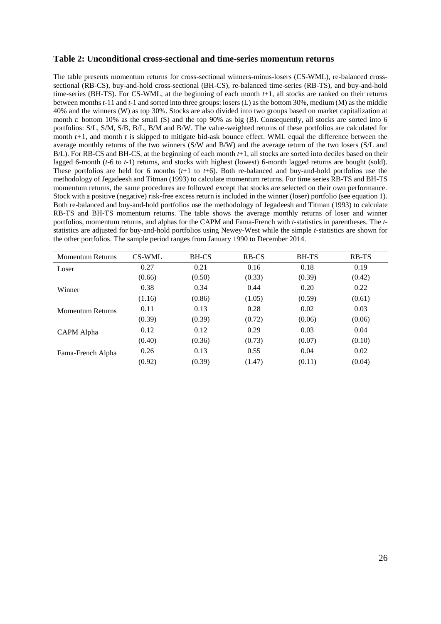## **Table 2: Unconditional cross-sectional and time-series momentum returns**

The table presents momentum returns for cross-sectional winners-minus-losers (CS-WML), re-balanced crosssectional (RB-CS), buy-and-hold cross-sectional (BH-CS), re-balanced time-series (RB-TS), and buy-and-hold time-series (BH-TS). For CS-WML, at the beginning of each month  $t+1$ , all stocks are ranked on their returns between months *t*-11 and *t*-1 and sorted into three groups: losers (L) as the bottom 30%, medium (M) as the middle 40% and the winners (W) as top 30%. Stocks are also divided into two groups based on market capitalization at month *t*: bottom 10% as the small (S) and the top 90% as big (B). Consequently, all stocks are sorted into 6 portfolios: S/L, S/M, S/B, B/L, B/M and B/W. The value-weighted returns of these portfolios are calculated for month  $t+1$ , and month  $t$  is skipped to mitigate bid-ask bounce effect. WML equal the difference between the average monthly returns of the two winners (S/W and B/W) and the average return of the two losers (S/L and B/L). For RB-CS and BH-CS, at the beginning of each month *t*+1, all stocks are sorted into deciles based on their lagged 6-month (*t*-6 to *t*-1) returns, and stocks with highest (lowest) 6-month lagged returns are bought (sold). These portfolios are held for 6 months (*t*+1 to *t*+6). Both re-balanced and buy-and-hold portfolios use the methodology o[f Jegadeesh and Titman \(1993\)](#page-22-0) to calculate momentum returns. For time series RB-TS and BH-TS momentum returns, the same procedures are followed except that stocks are selected on their own performance. Stock with a positive (negative) risk-free excess return is included in the winner (loser) portfolio (see equation 1). Both re-balanced and buy-and-hold portfolios use the methodology of [Jegadeesh and Titman \(1993\)](#page-22-0) to calculate RB-TS and BH-TS momentum returns. The table shows the average monthly returns of loser and winner portfolios, momentum returns, and alphas for the CAPM and Fama-French with *t*-statistics in parentheses. The *t*statistics are adjusted for buy-and-hold portfolios using Newey-West while the simple *t*-statistics are shown for the other portfolios. The sample period ranges from January 1990 to December 2014.

| <b>Momentum Returns</b> | CS-WML | <b>BH-CS</b> | <b>RB-CS</b> | <b>BH-TS</b> | <b>RB-TS</b> |
|-------------------------|--------|--------------|--------------|--------------|--------------|
| Loser                   | 0.27   | 0.21         | 0.16         | 0.18         | 0.19         |
|                         | (0.66) | (0.50)       | (0.33)       | (0.39)       | (0.42)       |
| Winner                  | 0.38   | 0.34         | 0.44         | 0.20         | 0.22         |
|                         | (1.16) | (0.86)       | (1.05)       | (0.59)       | (0.61)       |
| <b>Momentum Returns</b> | 0.11   | 0.13         | 0.28         | 0.02         | 0.03         |
|                         | (0.39) | (0.39)       | (0.72)       | (0.06)       | (0.06)       |
| CAPM Alpha              | 0.12   | 0.12         | 0.29         | 0.03         | 0.04         |
|                         | (0.40) | (0.36)       | (0.73)       | (0.07)       | (0.10)       |
| Fama-French Alpha       | 0.26   | 0.13         | 0.55         | 0.04         | 0.02         |
|                         | (0.92) | (0.39)       | (1.47)       | (0.11)       | (0.04)       |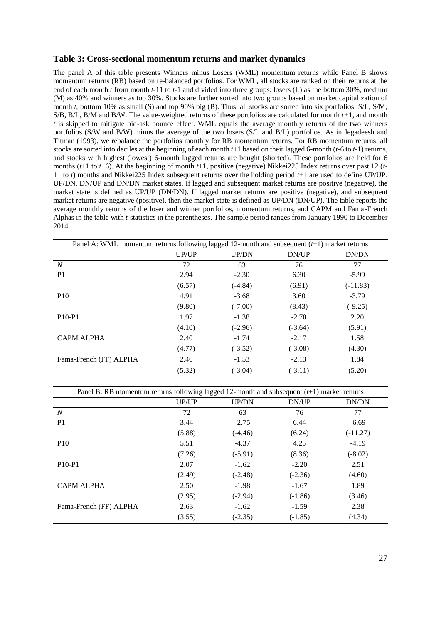## **Table 3: Cross-sectional momentum returns and market dynamics**

The panel A of this table presents Winners minus Losers (WML) momentum returns while Panel B shows momentum returns (RB) based on re-balanced portfolios. For WML, all stocks are ranked on their returns at the end of each month *t* from month *t*-11 to *t*-1 and divided into three groups: losers (L) as the bottom 30%, medium (M) as 40% and winners as top 30%. Stocks are further sorted into two groups based on market capitalization of month *t*, bottom 10% as small (S) and top 90% big (B). Thus, all stocks are sorted into six portfolios: S/L, S/M, S/B, B/L, B/M and B/W. The value-weighted returns of these portfolios are calculated for month *t+*1, and month *t* is skipped to mitigate bid-ask bounce effect. WML equals the average monthly returns of the two winners portfolios (S/W and B/W) minus the average of the two losers (S/L and B/L) portfolios. As in [Jegadeesh and](#page-22-0)  Titman (1993), we rebalance the portfolios monthly for RB momentum returns. For RB momentum returns, all stocks are sorted into deciles at the beginning of each month *t*+1 based on their lagged 6-month (*t*-6 to *t*-1) returns, and stocks with highest (lowest) 6-month lagged returns are bought (shorted). These portfolios are held for 6 months (*t*+1 to *t*+6). At the beginning of month *t*+1, positive (negative) Nikkei225 Index returns over past 12 (*t*-11 to *t*) months and Nikkei225 Index subsequent returns over the holding period *t*+1 are used to define UP/UP, UP/DN, DN/UP and DN/DN market states. If lagged and subsequent market returns are positive (negative), the market state is defined as UP/UP (DN/DN). If lagged market returns are positive (negative), and subsequent market returns are negative (positive), then the market state is defined as UP/DN (DN/UP). The table reports the average monthly returns of the loser and winner portfolios, momentum returns, and CAPM and Fama-French Alphas in the table with *t*-statistics in the parentheses. The sample period ranges from January 1990 to December 2014.

| Panel A: WML momentum returns following lagged 12-month and subsequent $(t+1)$ market returns |        |              |           |            |  |
|-----------------------------------------------------------------------------------------------|--------|--------------|-----------|------------|--|
|                                                                                               | UP/UP  | <b>UP/DN</b> | DN/UP     | DN/DN      |  |
| N                                                                                             | 72     | 63           | 76        | 77         |  |
| P <sub>1</sub>                                                                                | 2.94   | $-2.30$      | 6.30      | $-5.99$    |  |
|                                                                                               | (6.57) | $(-4.84)$    | (6.91)    | $(-11.83)$ |  |
| P <sub>10</sub>                                                                               | 4.91   | $-3.68$      | 3.60      | $-3.79$    |  |
|                                                                                               | (9.80) | $(-7.00)$    | (8.43)    | $(-9.25)$  |  |
| P <sub>10</sub> -P <sub>1</sub>                                                               | 1.97   | $-1.38$      | $-2.70$   | 2.20       |  |
|                                                                                               | (4.10) | $(-2.96)$    | $(-3.64)$ | (5.91)     |  |
| <b>CAPM ALPHA</b>                                                                             | 2.40   | $-1.74$      | $-2.17$   | 1.58       |  |
|                                                                                               | (4.77) | $(-3.52)$    | $(-3.08)$ | (4.30)     |  |
| Fama-French (FF) ALPHA                                                                        | 2.46   | $-1.53$      | $-2.13$   | 1.84       |  |
|                                                                                               | (5.32) | $(-3.04)$    | $(-3.11)$ | (5.20)     |  |

| Panel B: RB momentum returns following lagged 12-month and subsequent $(t+1)$ market returns |        |              |           |            |  |  |
|----------------------------------------------------------------------------------------------|--------|--------------|-----------|------------|--|--|
|                                                                                              | UP/UP  | <b>UP/DN</b> | DN/UP     | DN/DN      |  |  |
| $\boldsymbol{N}$                                                                             | 72     | 63           | 76        | 77         |  |  |
| P <sub>1</sub>                                                                               | 3.44   | $-2.75$      | 6.44      | $-6.69$    |  |  |
|                                                                                              | (5.88) | $(-4.46)$    | (6.24)    | $(-11.27)$ |  |  |
| <b>P10</b>                                                                                   | 5.51   | $-4.37$      | 4.25      | $-4.19$    |  |  |
|                                                                                              | (7.26) | $(-5.91)$    | (8.36)    | $(-8.02)$  |  |  |
| $P10-P1$                                                                                     | 2.07   | $-1.62$      | $-2.20$   | 2.51       |  |  |
|                                                                                              | (2.49) | $(-2.48)$    | $(-2.36)$ | (4.60)     |  |  |
| <b>CAPM ALPHA</b>                                                                            | 2.50   | $-1.98$      | $-1.67$   | 1.89       |  |  |
|                                                                                              | (2.95) | $(-2.94)$    | $(-1.86)$ | (3.46)     |  |  |
| Fama-French (FF) ALPHA                                                                       | 2.63   | $-1.62$      | $-1.59$   | 2.38       |  |  |
|                                                                                              | (3.55) | $(-2.35)$    | $(-1.85)$ | (4.34)     |  |  |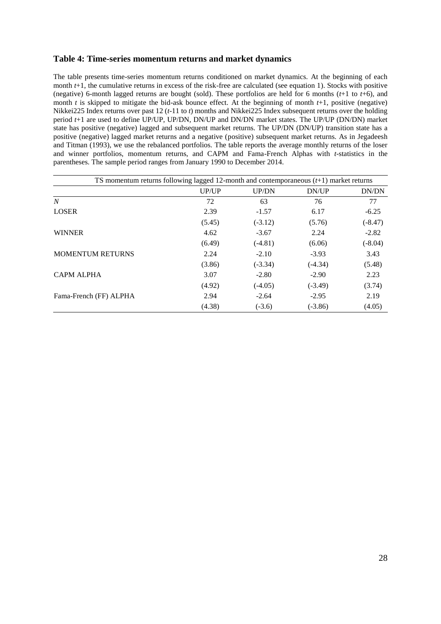## **Table 4: Time-series momentum returns and market dynamics**

The table presents time-series momentum returns conditioned on market dynamics. At the beginning of each month  $t+1$ , the cumulative returns in excess of the risk-free are calculated (see equation 1). Stocks with positive (negative) 6-month lagged returns are bought (sold). These portfolios are held for 6 months (*t*+1 to *t*+6), and month *t* is skipped to mitigate the bid-ask bounce effect. At the beginning of month  $t+1$ , positive (negative) Nikkei225 Index returns over past 12 (*t*-11 to *t*) months and Nikkei225 Index subsequent returns over the holding period *t*+1 are used to define UP/UP, UP/DN, DN/UP and DN/DN market states. The UP/UP (DN/DN) market state has positive (negative) lagged and subsequent market returns. The UP/DN (DN/UP) transition state has a positive (negative) lagged market returns and a negative (positive) subsequent market returns. As in [Jegadeesh](#page-22-0)  and Titman (1993), we use the rebalanced portfolios. The table reports the average monthly returns of the loser and winner portfolios, momentum returns, and CAPM and Fama-French Alphas with *t*-statistics in the parentheses. The sample period ranges from January 1990 to December 2014.

| TS momentum returns following lagged 12-month and contemporaneous $(t+1)$ market returns |        |              |           |           |
|------------------------------------------------------------------------------------------|--------|--------------|-----------|-----------|
|                                                                                          | UP/UP  | <b>UP/DN</b> | DN/UP     | DN/DN     |
| $\overline{N}$                                                                           | 72     | 63           | 76        | 77        |
| <b>LOSER</b>                                                                             | 2.39   | $-1.57$      | 6.17      | $-6.25$   |
|                                                                                          | (5.45) | $(-3.12)$    | (5.76)    | $(-8.47)$ |
| <b>WINNER</b>                                                                            | 4.62   | $-3.67$      | 2.24      | $-2.82$   |
|                                                                                          | (6.49) | $(-4.81)$    | (6.06)    | $(-8.04)$ |
| <b>MOMENTUM RETURNS</b>                                                                  | 2.24   | $-2.10$      | $-3.93$   | 3.43      |
|                                                                                          | (3.86) | $(-3.34)$    | $(-4.34)$ | (5.48)    |
| <b>CAPM ALPHA</b>                                                                        | 3.07   | $-2.80$      | $-2.90$   | 2.23      |
|                                                                                          | (4.92) | $(-4.05)$    | $(-3.49)$ | (3.74)    |
| Fama-French (FF) ALPHA                                                                   | 2.94   | $-2.64$      | $-2.95$   | 2.19      |
|                                                                                          | (4.38) | $(-3.6)$     | $(-3.86)$ | (4.05)    |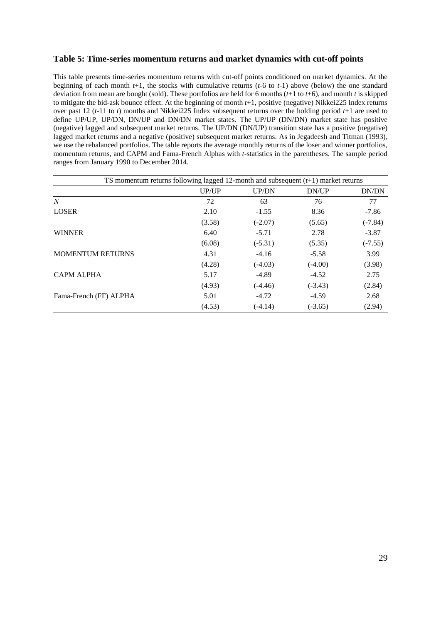# **Table 5: Time-series momentum returns and market dynamics with cut-off points**

This table presents time-series momentum returns with cut-off points conditioned on market dynamics. At the beginning of each month *t*+1, the stocks with cumulative returns (*t*-6 to *t*-1) above (below) the one standard deviation from mean are bought (sold). These portfolios are held for 6 months (*t*+1 to *t*+6), and month *t* is skipped to mitigate the bid-ask bounce effect. At the beginning of month *t*+1, positive (negative) Nikkei225 Index returns over past 12 (*t*-11 to *t*) months and Nikkei225 Index subsequent returns over the holding period *t*+1 are used to define UP/UP, UP/DN, DN/UP and DN/DN market states. The UP/UP (DN/DN) market state has positive (negative) lagged and subsequent market returns. The UP/DN (DN/UP) transition state has a positive (negative) lagged market returns and a negative (positive) subsequent market returns. As in [Jegadeesh and Titman \(1993\),](#page-22-0) we use the rebalanced portfolios. The table reports the average monthly returns of the loser and winner portfolios, momentum returns, and CAPM and Fama-French Alphas with *t*-statistics in the parentheses. The sample period ranges from January 1990 to December 2014.

| TS momentum returns following lagged 12-month and subsequent $(t+1)$ market returns |        |              |           |           |
|-------------------------------------------------------------------------------------|--------|--------------|-----------|-----------|
|                                                                                     | UP/UP  | <b>UP/DN</b> | DN/UP     | DN/DN     |
| N                                                                                   | 72     | 63           | 76        | 77        |
| <b>LOSER</b>                                                                        | 2.10   | $-1.55$      | 8.36      | $-7.86$   |
|                                                                                     | (3.58) | $(-2.07)$    | (5.65)    | $(-7.84)$ |
| <b>WINNER</b>                                                                       | 6.40   | $-5.71$      | 2.78      | $-3.87$   |
|                                                                                     | (6.08) | $(-5.31)$    | (5.35)    | $(-7.55)$ |
| <b>MOMENTUM RETURNS</b>                                                             | 4.31   | $-4.16$      | $-5.58$   | 3.99      |
|                                                                                     | (4.28) | $(-4.03)$    | $(-4.00)$ | (3.98)    |
| <b>CAPM ALPHA</b>                                                                   | 5.17   | $-4.89$      | $-4.52$   | 2.75      |
|                                                                                     | (4.93) | $(-4.46)$    | $(-3.43)$ | (2.84)    |
| Fama-French (FF) ALPHA                                                              | 5.01   | $-4.72$      | $-4.59$   | 2.68      |
|                                                                                     | (4.53) | $(-4.14)$    | $(-3.65)$ | (2.94)    |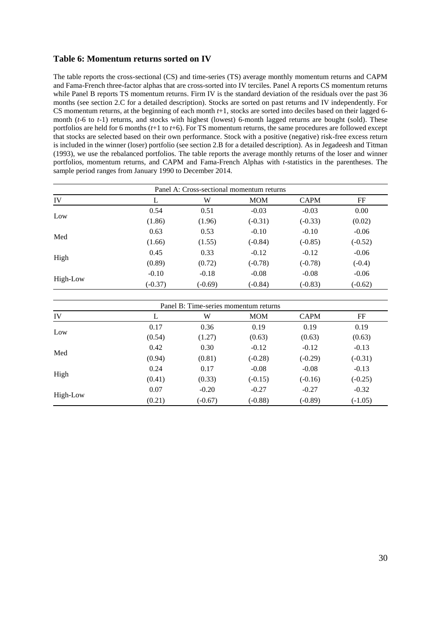# **Table 6: Momentum returns sorted on IV**

The table reports the cross-sectional (CS) and time-series (TS) average monthly momentum returns and CAPM and Fama-French three-factor alphas that are cross-sorted into IV terciles. Panel A reports CS momentum returns while Panel B reports TS momentum returns. Firm IV is the standard deviation of the residuals over the past 36 months (see section 2.C for a detailed description). Stocks are sorted on past returns and IV independently. For CS momentum returns, at the beginning of each month *t*+1, stocks are sorted into deciles based on their lagged 6 month (*t*-6 to *t*-1) returns, and stocks with highest (lowest) 6-month lagged returns are bought (sold). These portfolios are held for 6 months (*t*+1 to *t*+6). For TS momentum returns, the same procedures are followed except that stocks are selected based on their own performance. Stock with a positive (negative) risk-free excess return is included in the winner (loser) portfolio (see section 2.B for a detailed description). As in [Jegadeesh and Titman](#page-22-0)  (1993), we use the rebalanced portfolios. The table reports the average monthly returns of the loser and winner portfolios, momentum returns, and CAPM and Fama-French Alphas with *t*-statistics in the parentheses. The sample period ranges from January 1990 to December 2014.

|          |           |           | Panel A: Cross-sectional momentum returns |             |           |
|----------|-----------|-----------|-------------------------------------------|-------------|-----------|
| IV       | ⊥         | W         | <b>MOM</b>                                | <b>CAPM</b> | FF        |
|          | 0.54      | 0.51      | $-0.03$                                   | $-0.03$     | 0.00      |
| Low      | (1.86)    | (1.96)    | $(-0.31)$                                 | $(-0.33)$   | (0.02)    |
| Med      | 0.63      | 0.53      | $-0.10$                                   | $-0.10$     | $-0.06$   |
|          | (1.66)    | (1.55)    | $(-0.84)$                                 | $(-0.85)$   | $(-0.52)$ |
|          | 0.45      | 0.33      | $-0.12$                                   | $-0.12$     | $-0.06$   |
| High     | (0.89)    | (0.72)    | $(-0.78)$                                 | $(-0.78)$   | $(-0.4)$  |
|          | $-0.10$   | $-0.18$   | $-0.08$                                   | $-0.08$     | $-0.06$   |
| High-Low | $(-0.37)$ | $(-0.69)$ | $(-0.84)$                                 | $(-0.83)$   | $(-0.62)$ |

|          |        | Panel B: Time-series momentum returns |            |             |           |
|----------|--------|---------------------------------------|------------|-------------|-----------|
| IV       | ⊥      | W                                     | <b>MOM</b> | <b>CAPM</b> | FF        |
|          | 0.17   | 0.36                                  | 0.19       | 0.19        | 0.19      |
| Low      | (0.54) | (1.27)<br>(0.63)<br>(0.63)            | (0.63)     |             |           |
|          | 0.42   | 0.30                                  | $-0.12$    | $-0.12$     | $-0.13$   |
| Med      | (0.94) | (0.81)                                | $(-0.28)$  | $(-0.29)$   | $(-0.31)$ |
|          | 0.24   | 0.17                                  | $-0.08$    | $-0.08$     | $-0.13$   |
| High     | (0.41) | (0.33)                                | $(-0.15)$  | $(-0.16)$   | $(-0.25)$ |
|          | 0.07   | $-0.20$                               | $-0.27$    | $-0.27$     | $-0.32$   |
| High-Low | (0.21) | $(-0.67)$                             | $(-0.88)$  | $(-0.89)$   | $(-1.05)$ |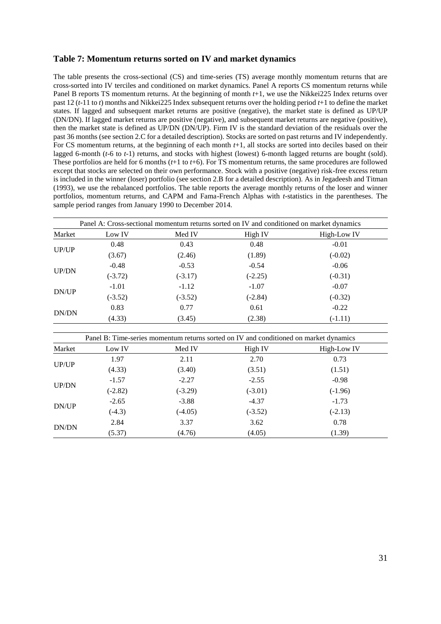## **Table 7: Momentum returns sorted on IV and market dynamics**

The table presents the cross-sectional (CS) and time-series (TS) average monthly momentum returns that are cross-sorted into IV terciles and conditioned on market dynamics. Panel A reports CS momentum returns while Panel B reports TS momentum returns. At the beginning of month *t*+1, we use the Nikkei225 Index returns over past 12 (*t*-11 to *t*) months and Nikkei225 Index subsequent returns over the holding period *t*+1 to define the market states. If lagged and subsequent market returns are positive (negative), the market state is defined as UP/UP (DN/DN). If lagged market returns are positive (negative), and subsequent market returns are negative (positive), then the market state is defined as UP/DN (DN/UP). Firm IV is the standard deviation of the residuals over the past 36 months (see section 2.C for a detailed description). Stocks are sorted on past returns and IV independently. For CS momentum returns, at the beginning of each month *t*+1, all stocks are sorted into deciles based on their lagged 6-month (*t*-6 to *t*-1) returns, and stocks with highest (lowest) 6-month lagged returns are bought (sold). These portfolios are held for 6 months (*t*+1 to *t*+6). For TS momentum returns, the same procedures are followed except that stocks are selected on their own performance. Stock with a positive (negative) risk-free excess return is included in the winner (loser) portfolio (see section 2.B for a detailed description). As in [Jegadeesh and Titman](#page-22-0)  (1993), we use the rebalanced portfolios. The table reports the average monthly returns of the loser and winner portfolios, momentum returns, and CAPM and Fama-French Alphas with *t*-statistics in the parentheses. The sample period ranges from January 1990 to December 2014.

| Panel A: Cross-sectional momentum returns sorted on IV and conditioned on market dynamics |           |           |           |             |  |  |  |
|-------------------------------------------------------------------------------------------|-----------|-----------|-----------|-------------|--|--|--|
| Market                                                                                    | Low IV    | Med IV    | High IV   | High-Low IV |  |  |  |
|                                                                                           | 0.48      | 0.43      | 0.48      | $-0.01$     |  |  |  |
| UP/UP                                                                                     | (3.67)    | (2.46)    | (1.89)    | $(-0.02)$   |  |  |  |
| <b>UP/DN</b>                                                                              | $-0.48$   | $-0.53$   | $-0.54$   | $-0.06$     |  |  |  |
|                                                                                           | $(-3.72)$ | $(-3.17)$ | $(-2.25)$ | $(-0.31)$   |  |  |  |
|                                                                                           | $-1.01$   | $-1.12$   | $-1.07$   | $-0.07$     |  |  |  |
| DN/UP                                                                                     | $(-3.52)$ | $(-3.52)$ | $(-2.84)$ | $(-0.32)$   |  |  |  |
|                                                                                           | 0.83      | 0.77      | 0.61      | $-0.22$     |  |  |  |
| DN/DN                                                                                     | (4.33)    | (3.45)    | (2.38)    | $(-1.11)$   |  |  |  |

| Panel B: Time-series momentum returns sorted on IV and conditioned on market dynamics |           |           |           |             |  |  |  |
|---------------------------------------------------------------------------------------|-----------|-----------|-----------|-------------|--|--|--|
| Market                                                                                | Low IV    | Med IV    | High IV   | High-Low IV |  |  |  |
|                                                                                       | 1.97      | 2.11      | 2.70      | 0.73        |  |  |  |
| UP/UP                                                                                 | (4.33)    | (3.40)    | (3.51)    | (1.51)      |  |  |  |
|                                                                                       | $-1.57$   | $-2.27$   | $-2.55$   | $-0.98$     |  |  |  |
| <b>UP/DN</b>                                                                          | $(-2.82)$ | $(-3.29)$ | $(-3.01)$ | $(-1.96)$   |  |  |  |
|                                                                                       | $-2.65$   | $-3.88$   | $-4.37$   | $-1.73$     |  |  |  |
| DN/UP                                                                                 | $(-4.3)$  | $(-4.05)$ | $(-3.52)$ | $(-2.13)$   |  |  |  |
|                                                                                       | 2.84      | 3.37      | 3.62      | 0.78        |  |  |  |
| DN/DN                                                                                 | (5.37)    | (4.76)    | (4.05)    | (1.39)      |  |  |  |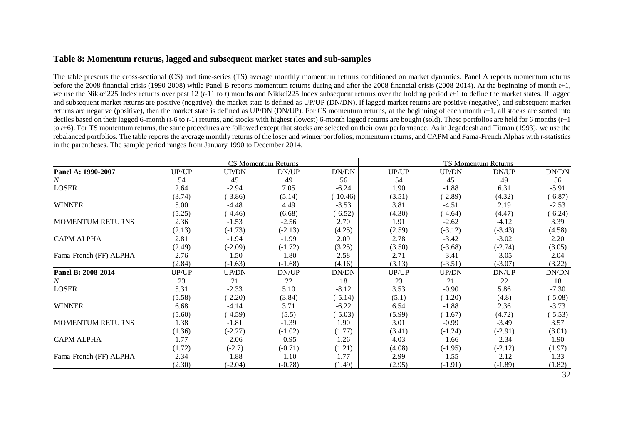# **Table 8: Momentum returns, lagged and subsequent market states and sub-samples**

The table presents the cross-sectional (CS) and time-series (TS) average monthly momentum returns conditioned on market dynamics. Panel A reports momentum returns before the 2008 financial crisis (1990-2008) while Panel B reports momentum returns during and after the 2008 financial crisis (2008-2014). At the beginning of month *t*+1, we use the Nikkei225 Index returns over past 12 (*t*-11 to *t*) months and Nikkei225 Index subsequent returns over the holding period *t*+1 to define the market states. If lagged and subsequent market returns are positive (negative), the market state is defined as UP/UP (DN/DN). If lagged market returns are positive (negative), and subsequent market returns are negative (positive), then the market state is defined as UP/DN (DN/UP). For CS momentum returns, at the beginning of each month *t*+1, all stocks are sorted into deciles based on their lagged 6-month (*t*-6 to *t*-1) returns, and stocks with highest (lowest) 6-month lagged returns are bought (sold). These portfolios are held for 6 months (*t*+1 to *t*+6). For TS momentum returns, the same procedures are followed except that stocks are selected on their own performance. As in [Jegadeesh and Titman \(1993\),](#page-22-15) we use the rebalanced portfolios. The table reports the average monthly returns of the loser and winner portfolios, momentum returns, and CAPM and Fama-French Alphas with *t*-statistics in the parentheses. The sample period ranges from January 1990 to December 2014.

|                         |        |              | CS Momentum Returns |            |        |           | TS Momentum Returns |           |
|-------------------------|--------|--------------|---------------------|------------|--------|-----------|---------------------|-----------|
| Panel A: 1990-2007      | UP/UP  | UP/DN        | DN/UP               | DN/DN      | UP/UP  | UP/DN     | DN/UP               | DN/DN     |
| N                       | 54     | 45           | 49                  | 56         | 54     | 45        | 49                  | 56        |
| LOSER                   | 2.64   | $-2.94$      | 7.05                | $-6.24$    | 1.90   | $-1.88$   | 6.31                | $-5.91$   |
|                         | (3.74) | $(-3.86)$    | (5.14)              | $(-10.46)$ | (3.51) | $(-2.89)$ | (4.32)              | $(-6.87)$ |
| <b>WINNER</b>           | 5.00   | $-4.48$      | 4.49                | $-3.53$    | 3.81   | $-4.51$   | 2.19                | $-2.53$   |
|                         | (5.25) | $(-4.46)$    | (6.68)              | $(-6.52)$  | (4.30) | $(-4.64)$ | (4.47)              | $(-6.24)$ |
| <b>MOMENTUM RETURNS</b> | 2.36   | $-1.53$      | $-2.56$             | 2.70       | 1.91   | $-2.62$   | $-4.12$             | 3.39      |
|                         | (2.13) | $(-1.73)$    | $(-2.13)$           | (4.25)     | (2.59) | $(-3.12)$ | $(-3.43)$           | (4.58)    |
| <b>CAPM ALPHA</b>       | 2.81   | $-1.94$      | $-1.99$             | 2.09       | 2.78   | $-3.42$   | $-3.02$             | 2.20      |
|                         | (2.49) | $(-2.09)$    | $(-1.72)$           | (3.25)     | (3.50) | $(-3.68)$ | $(-2.74)$           | (3.05)    |
| Fama-French (FF) ALPHA  | 2.76   | $-1.50$      | $-1.80$             | 2.58       | 2.71   | $-3.41$   | $-3.05$             | 2.04      |
|                         | (2.84) | $(-1.63)$    | $(-1.68)$           | (4.16)     | (3.13) | $(-3.51)$ | $(-3.07)$           | (3.22)    |
| Panel B: 2008-2014      | UP/UP  | <b>UP/DN</b> | DN/UP               | DN/DN      | UP/UP  | UP/DN     | DN/UP               | DN/DN     |
| $\boldsymbol{N}$        | 23     | 21           | 22                  | 18         | 23     | 21        | 22                  | 18        |
| <b>LOSER</b>            | 5.31   | $-2.33$      | 5.10                | $-8.12$    | 3.53   | $-0.90$   | 5.86                | $-7.30$   |
|                         | (5.58) | $(-2.20)$    | (3.84)              | $(-5.14)$  | (5.1)  | $(-1.20)$ | (4.8)               | $(-5.08)$ |
| <b>WINNER</b>           | 6.68   | $-4.14$      | 3.71                | $-6.22$    | 6.54   | $-1.88$   | 2.36                | $-3.73$   |
|                         | (5.60) | $(-4.59)$    | (5.5)               | $(-5.03)$  | (5.99) | $(-1.67)$ | (4.72)              | $(-5.53)$ |
| <b>MOMENTUM RETURNS</b> | 1.38   | $-1.81$      | $-1.39$             | 1.90       | 3.01   | $-0.99$   | $-3.49$             | 3.57      |
|                         | (1.36) | $(-2.27)$    | $(-1.02)$           | (1.77)     | (3.41) | $(-1.24)$ | $(-2.91)$           | (3.01)    |
| <b>CAPM ALPHA</b>       | 1.77   | $-2.06$      | $-0.95$             | 1.26       | 4.03   | $-1.66$   | $-2.34$             | 1.90      |
|                         | (1.72) | $(-2.7)$     | $(-0.71)$           | (1.21)     | (4.08) | $(-1.95)$ | $(-2.12)$           | (1.97)    |
| Fama-French (FF) ALPHA  | 2.34   | $-1.88$      | $-1.10$             | 1.77       | 2.99   | $-1.55$   | $-2.12$             | 1.33      |
|                         | (2.30) | $(-2.04)$    | $(-0.78)$           | (1.49)     | (2.95) | $(-1.91)$ | $(-1.89)$           | (1.82)    |